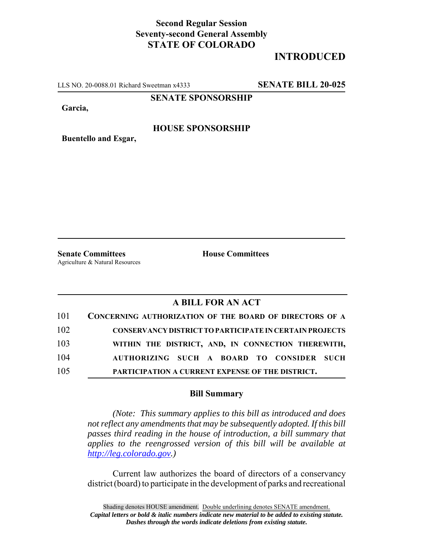## **Second Regular Session Seventy-second General Assembly STATE OF COLORADO**

# **INTRODUCED**

LLS NO. 20-0088.01 Richard Sweetman x4333 **SENATE BILL 20-025**

**SENATE SPONSORSHIP**

**Garcia,**

#### **HOUSE SPONSORSHIP**

**Buentello and Esgar,**

**Senate Committees House Committees** Agriculture & Natural Resources

### **A BILL FOR AN ACT**

| 101 | CONCERNING AUTHORIZATION OF THE BOARD OF DIRECTORS OF A        |
|-----|----------------------------------------------------------------|
| 102 | <b>CONSERVANCY DISTRICT TO PARTICIPATE IN CERTAIN PROJECTS</b> |
| 103 | WITHIN THE DISTRICT, AND, IN CONNECTION THEREWITH,             |
| 104 | AUTHORIZING SUCH A BOARD TO CONSIDER SUCH                      |
| 105 | PARTICIPATION A CURRENT EXPENSE OF THE DISTRICT.               |

#### **Bill Summary**

*(Note: This summary applies to this bill as introduced and does not reflect any amendments that may be subsequently adopted. If this bill passes third reading in the house of introduction, a bill summary that applies to the reengrossed version of this bill will be available at http://leg.colorado.gov.)*

Current law authorizes the board of directors of a conservancy district (board) to participate in the development of parks and recreational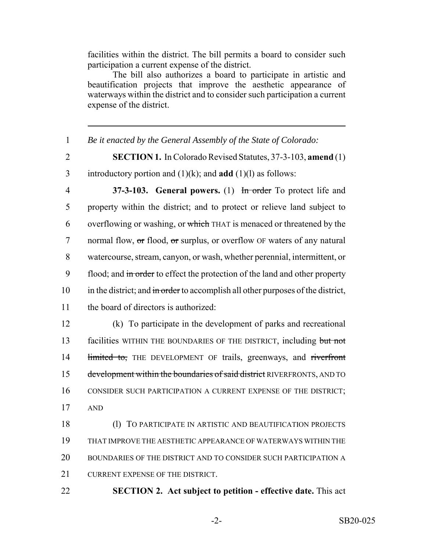facilities within the district. The bill permits a board to consider such participation a current expense of the district.

The bill also authorizes a board to participate in artistic and beautification projects that improve the aesthetic appearance of waterways within the district and to consider such participation a current expense of the district.

1 *Be it enacted by the General Assembly of the State of Colorado:*

2 **SECTION 1.** In Colorado Revised Statutes, 37-3-103, **amend** (1) 3 introductory portion and (1)(k); and **add** (1)(l) as follows:

4 **37-3-103. General powers.** (1) In order To protect life and 5 property within the district; and to protect or relieve land subject to 6 overflowing or washing, or which THAT is menaced or threatened by the 7 normal flow, or flood, or surplus, or overflow OF waters of any natural 8 watercourse, stream, canyon, or wash, whether perennial, intermittent, or 9 flood; and in order to effect the protection of the land and other property 10 in the district; and in order to accomplish all other purposes of the district, 11 the board of directors is authorized:

12 (k) To participate in the development of parks and recreational 13 facilities WITHIN THE BOUNDARIES OF THE DISTRICT, including but not 14 limited to, THE DEVELOPMENT OF trails, greenways, and riverfront 15 development within the boundaries of said district RIVERFRONTS, AND TO 16 CONSIDER SUCH PARTICIPATION A CURRENT EXPENSE OF THE DISTRICT; 17 AND

 (l) TO PARTICIPATE IN ARTISTIC AND BEAUTIFICATION PROJECTS THAT IMPROVE THE AESTHETIC APPEARANCE OF WATERWAYS WITHIN THE BOUNDARIES OF THE DISTRICT AND TO CONSIDER SUCH PARTICIPATION A 21 CURRENT EXPENSE OF THE DISTRICT.

22 **SECTION 2. Act subject to petition - effective date.** This act